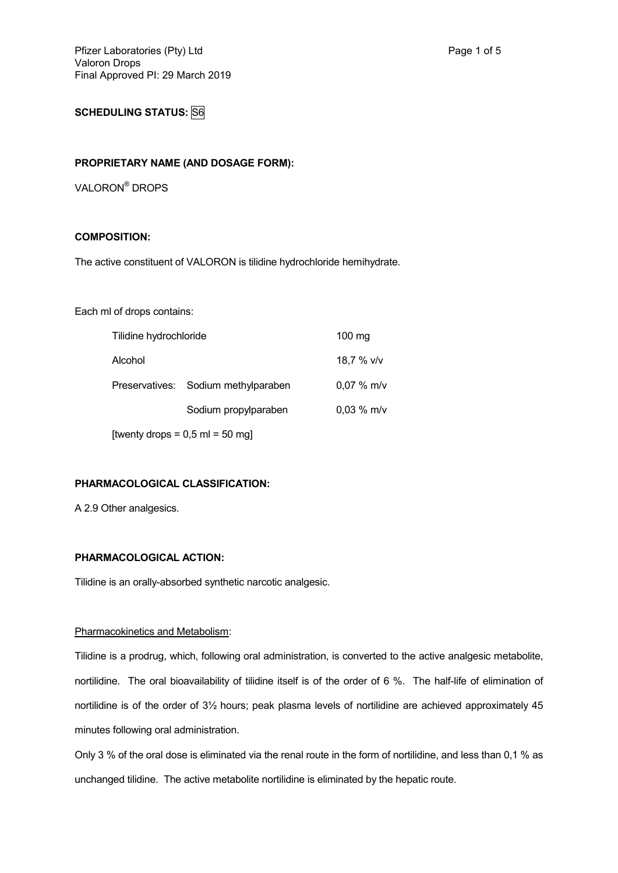# **SCHEDULING STATUS: S6**

#### **PROPRIETARY NAME (AND DOSAGE FORM):**

VALORON® DROPS

## **COMPOSITION:**

The active constituent of VALORON is tilidine hydrochloride hemihydrate.

Each ml of drops contains:

| Tilidine hydrochloride | 100 mg                              |              |
|------------------------|-------------------------------------|--------------|
| Alcohol                |                                     | 18,7 % v/v   |
|                        | Preservatives: Sodium methylparaben | $0.07 %$ m/v |
|                        | Sodium propylparaben                | 0,03 % m/v   |
|                        | [twenty drops = $0,5$ ml = $50$ mg] |              |

### **PHARMACOLOGICAL CLASSIFICATION:**

A 2.9 Other analgesics.

## **PHARMACOLOGICAL ACTION:**

Tilidine is an orally-absorbed synthetic narcotic analgesic.

#### Pharmacokinetics and Metabolism:

Tilidine is a prodrug, which, following oral administration, is converted to the active analgesic metabolite, nortilidine. The oral bioavailability of tilidine itself is of the order of 6 %. The half-life of elimination of nortilidine is of the order of 3½ hours; peak plasma levels of nortilidine are achieved approximately 45 minutes following oral administration.

Only 3 % of the oral dose is eliminated via the renal route in the form of nortilidine, and less than 0,1 % as unchanged tilidine. The active metabolite nortilidine is eliminated by the hepatic route.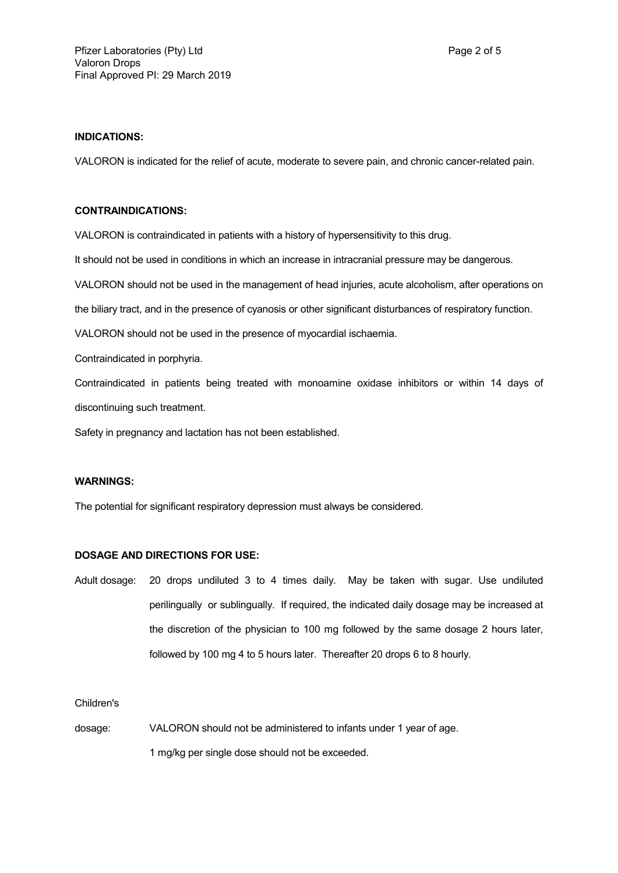## **INDICATIONS:**

VALORON is indicated for the relief of acute, moderate to severe pain, and chronic cancer-related pain.

### **CONTRAINDICATIONS:**

VALORON is contraindicated in patients with a history of hypersensitivity to this drug.

It should not be used in conditions in which an increase in intracranial pressure may be dangerous.

VALORON should not be used in the management of head injuries, acute alcoholism, after operations on

the biliary tract, and in the presence of cyanosis or other significant disturbances of respiratory function.

VALORON should not be used in the presence of myocardial ischaemia.

Contraindicated in porphyria.

Contraindicated in patients being treated with monoamine oxidase inhibitors or within 14 days of discontinuing such treatment.

Safety in pregnancy and lactation has not been established.

## **WARNINGS:**

The potential for significant respiratory depression must always be considered.

## **DOSAGE AND DIRECTIONS FOR USE:**

Adult dosage: 20 drops undiluted 3 to 4 times daily. May be taken with sugar. Use undiluted perilingually or sublingually. If required, the indicated daily dosage may be increased at the discretion of the physician to 100 mg followed by the same dosage 2 hours later, followed by 100 mg 4 to 5 hours later. Thereafter 20 drops 6 to 8 hourly.

### Children's

dosage: VALORON should not be administered to infants under 1 year of age. 1 mg/kg per single dose should not be exceeded.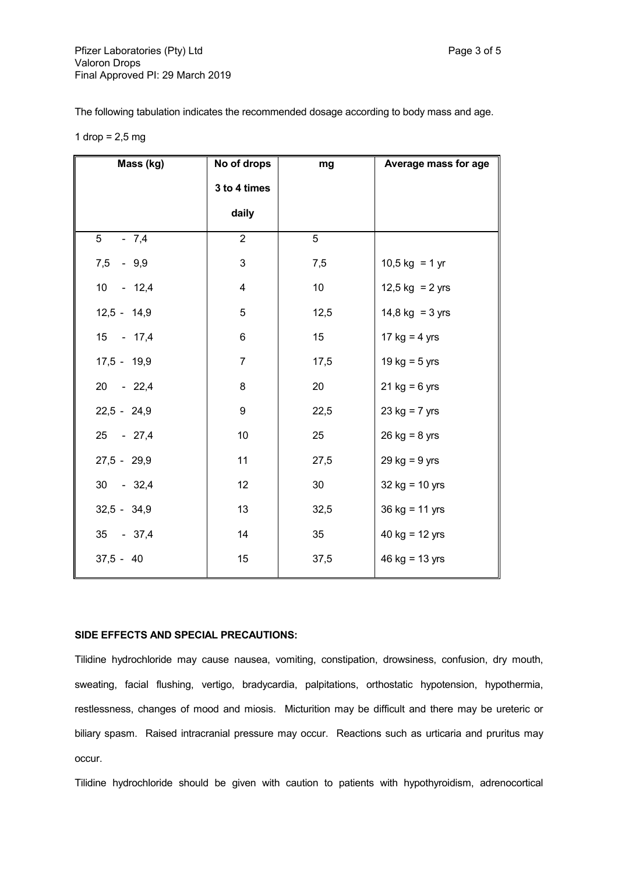The following tabulation indicates the recommended dosage according to body mass and age.

|  |  | 1 $drop = 2.5 mg$ |  |
|--|--|-------------------|--|
|--|--|-------------------|--|

| Mass (kg)                | No of drops    | mg              | Average mass for age    |
|--------------------------|----------------|-----------------|-------------------------|
|                          | 3 to 4 times   |                 |                         |
|                          | daily          |                 |                         |
| 5 <sup>5</sup><br>$-7,4$ | $\overline{2}$ | 5               |                         |
| 7,5<br>$-9,9$            | 3              | 7,5             | $10,5$ kg = 1 yr        |
| $10 - 12,4$              | 4              | 10 <sup>°</sup> | 12,5 kg = 2 yrs         |
| $12,5 - 14,9$            | 5              | 12,5            | $14,8$ kg = 3 yrs       |
| 15 - 17,4                | 6              | 15              | 17 kg = $4 \text{ yrs}$ |
| $17,5 - 19,9$            | $\overline{7}$ | 17,5            | 19 kg = $5$ yrs         |
| 20 - 22,4                | 8              | 20              | $21 kg = 6 yrs$         |
| $22,5 - 24,9$            | 9              | 22,5            | $23 kg = 7 yrs$         |
| 25 - 27,4                | 10             | 25              | $26$ kg = 8 yrs         |
| $27,5 - 29,9$            | 11             | 27,5            | $29$ kg = $9$ yrs       |
| $30 - 32,4$              | 12             | 30              | $32$ kg = 10 yrs        |
| $32,5 - 34,9$            | 13             | 32,5            | $36 kg = 11 yrs$        |
| 35 - 37,4                | 14             | 35              | 40 $kg = 12$ yrs        |
| $37,5 - 40$              | 15             | 37,5            | 46 $kg = 13$ yrs        |

### **SIDE EFFECTS AND SPECIAL PRECAUTIONS:**

Tilidine hydrochloride may cause nausea, vomiting, constipation, drowsiness, confusion, dry mouth, sweating, facial flushing, vertigo, bradycardia, palpitations, orthostatic hypotension, hypothermia, restlessness, changes of mood and miosis. Micturition may be difficult and there may be ureteric or biliary spasm. Raised intracranial pressure may occur. Reactions such as urticaria and pruritus may occur.

Tilidine hydrochloride should be given with caution to patients with hypothyroidism, adrenocortical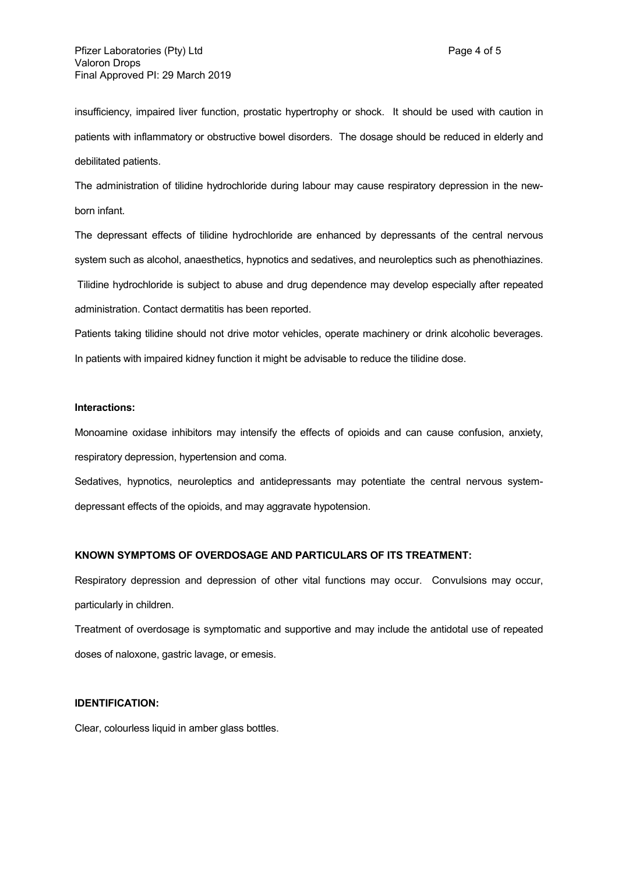insufficiency, impaired liver function, prostatic hypertrophy or shock. It should be used with caution in patients with inflammatory or obstructive bowel disorders. The dosage should be reduced in elderly and debilitated patients.

The administration of tilidine hydrochloride during labour may cause respiratory depression in the newborn infant.

The depressant effects of tilidine hydrochloride are enhanced by depressants of the central nervous system such as alcohol, anaesthetics, hypnotics and sedatives, and neuroleptics such as phenothiazines.

Tilidine hydrochloride is subject to abuse and drug dependence may develop especially after repeated administration. Contact dermatitis has been reported.

Patients taking tilidine should not drive motor vehicles, operate machinery or drink alcoholic beverages. In patients with impaired kidney function it might be advisable to reduce the tilidine dose.

#### **Interactions:**

Monoamine oxidase inhibitors may intensify the effects of opioids and can cause confusion, anxiety, respiratory depression, hypertension and coma.

Sedatives, hypnotics, neuroleptics and antidepressants may potentiate the central nervous systemdepressant effects of the opioids, and may aggravate hypotension.

#### **KNOWN SYMPTOMS OF OVERDOSAGE AND PARTICULARS OF ITS TREATMENT:**

Respiratory depression and depression of other vital functions may occur. Convulsions may occur, particularly in children.

Treatment of overdosage is symptomatic and supportive and may include the antidotal use of repeated doses of naloxone, gastric lavage, or emesis.

## **IDENTIFICATION:**

Clear, colourless liquid in amber glass bottles.